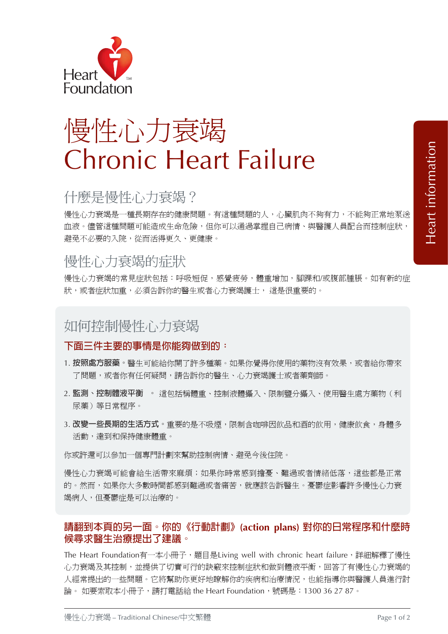

# 慢性心力衰竭 Chronic Heart Failure

# 什麼是慢性心力衰竭?

慢性心力衰竭是一種長期存在的健康問題。有這種問題的人,心臟肌肉不夠有力,不能夠正常地泵送 血液。儘管這種問題可能造成生命危險,但你可以通過掌握自己病情、與醫護人員配合而控制症狀, 避免不必要的入院,從而活得更久、更健康。

# 慢性心力衰竭的症狀

慢性心力衰竭的常見症狀包括:呼吸短促,感覺疲勞,體重增加,腳踝和/或腹部腫脹。如有新的症 狀,或者症狀加重,必須告訴你的醫生或者心力衰竭護士,這是很重要的。

# 如何控制慢性心力衰竭

#### **下面三件主要的事情是你能夠做到的:**

- 1. **按照處方服藥。**醫生可能給你開了許多種藥。如果你覺得你使用的藥物沒有效果,或者給你帶來 了問題,或者你有任何疑問,請告訴你的醫生、心力衰竭護士或者藥劑師。
- 2. **監測、控制體液平衡 。** 這包括稱體重、控制液體攝入、限制鹽分攝入、使用醫生處方藥物(利 尿藥)等日常程序。
- 3. 改變一些長期的生活方式。重要的是不吸煙,限制含咖啡因飲品和酒的飲用,健康飲食,身體多 活動,達到和保持健康體重。

你或許還可以參加一個專門計劃來幫助控制病情、避免今後住院。

慢性心力衰竭可能會給生活帶來麻煩;如果你時常感到擔憂、難過或者情緒低落,這些都是正常 的。然而,如果你大多數時間都感到難過或者痛苦,就應該告訴醫生。憂鬱症影響許多慢性心力衰 竭病人,但憂鬱症是可以治療的。

#### **請翻到本頁的另一面。你的《行動計劃》(action plans) 對你的日常程序和什麼時 候尋求醫生治療提出了建議。**

The Heart Foundation有一本小冊子,題目是Living well with chronic heart failure,詳細解釋了慢性 心力衰竭及其控制,並提供了切實可行的訣竅來控制症狀和做到體液平衡,回答了有慢性心力衰竭的 人經常提出的一些問題。它將幫助你更好地瞭解你的疾病和治療情況,也能指導你與醫護人員進行討 論。 如要索取本小冊子,請打電話給 the Heart Foundation,號碼是:1300 36 27 87。